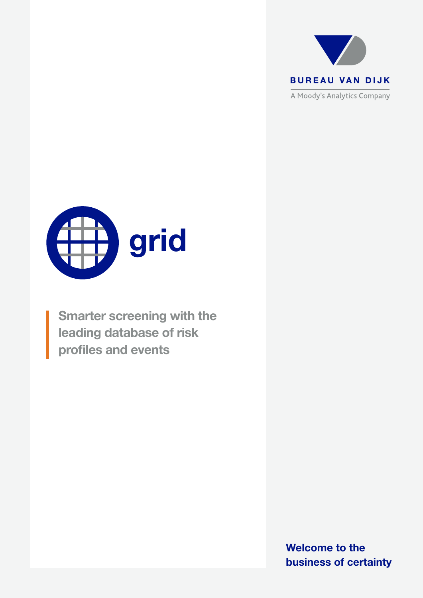



Smarter screening with the leading database of risk profiles and events

> Welcome to the business of certainty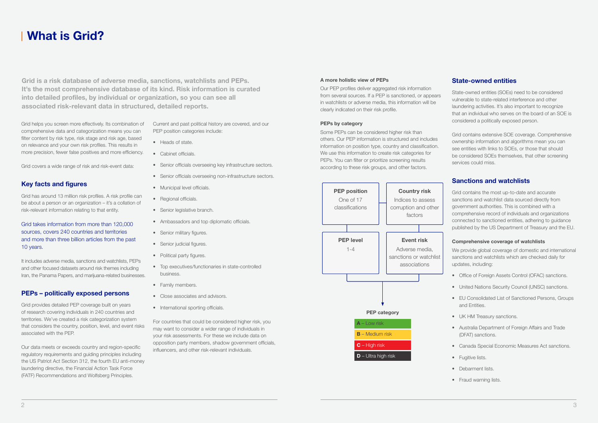## A more holistic view of PEPs

Our PEP profiles deliver aggregated risk information from several sources. If a PEP is sanctioned, or appears in watchlists or adverse media, this information will be clearly indicated on their risk profile.

## PEPs by category

Some PEPs can be considered higher risk than others. Our PEP information is structured and includes information on position type, country and classification. We use this information to create risk categories for PEPs. You can filter or prioritize screening results according to these risk groups, and other factors.

# State-owned entities

State-owned entities (SOEs) need to be considered vulnerable to state-related interference and other laundering activities. It's also important to recognize that an individual who serves on the board of an SOE is considered a politically exposed person.

- Office of Foreign Assets Control (OFAC) sanctions.
- United Nations Security Council (UNSC) sanctions.
- EU Consolidated List of Sanctioned Persons, Groups and Entities.
- UK HM Treasury sanctions.
- Australia Department of Foreign Affairs and Trade (DFAT) sanctions.
- Canada Special Economic Measures Act sanctions.
- Fugitive lists.
- Debarment lists.
- Fraud warning lists.

Grid contains extensive SOE coverage. Comprehensive ownership information and algorithms mean you can see entities with links to SOEs, or those that should be considered SOEs themselves, that other screening services could miss.

# Sanctions and watchlists

Grid contains the most up-to-date and accurate sanctions and watchlist data sourced directly from government authorities. This is combined with a comprehensive record of individuals and organizations connected to sanctioned entities, adhering to guidance published by the US Department of Treasury and the EU.

It includes adverse media, sanctions and watchlists, PEPs and other focused datasets around risk themes including Iran, the Panama Papers, and marijuana-related businesses.

## Comprehensive coverage of watchlists

We provide global coverage of domestic and international sanctions and watchlists which are checked daily for updates, including:

# What is Grid?

Grid helps you screen more effectively. Its combination of comprehensive data and categorization means you can filter content by risk type, risk stage and risk age, based on relevance and your own risk profiles. This results in more precision, fewer false positives and more efficiency.

Grid covers a wide range of risk and risk-event data:

# Key facts and figures

Grid has around 13 million risk profiles. A risk profile can be about a person or an organization – it's a collation of risk-relevant information relating to that entity.

## Grid takes information from more than 120,000 sources, covers 240 countries and territories and more than three billion articles from the past 10 years.

# PEPs – politically exposed persons

Grid provides detailed PEP coverage built on years of research covering individuals in 240 countries and territories. We've created a risk categorization system that considers the country, position, level, and event risks associated with the PEP.

Our data meets or exceeds country and region-specific regulatory requirements and guiding principles including the US Patriot Act Section 312, the fourth EU anti-money laundering directive, the Financial Action Task Force (FATF) Recommendations and Wolfsberg Principles.

Current and past political history are covered, and our PEP position categories include:

- Heads of state.
- Cabinet officials.
- Senior officials overseeing key infrastructure sectors.
- Senior officials overseeing non-infrastructure sectors.
- Municipal level officials.
- Regional officials.
- Senior legislative branch.
- Ambassadors and top diplomatic officials.
- Senior military figures.
- Senior judicial figures.
- Political party figures.
- Top executives/functionaries in state-controlled business.
- Family members.
- Close associates and advisors.
- International sporting officials.

For countries that could be considered higher risk, you may want to consider a wider range of individuals in your risk assessments. For these we include data on opposition party members, shadow government officials, influencers, and other risk-relevant individuals.

Grid is a risk database of adverse media, sanctions, watchlists and PEPs. It's the most comprehensive database of its kind. Risk information is curated into detailed profiles, by individual or organization, so you can see all associated risk-relevant data in structured, detailed reports.

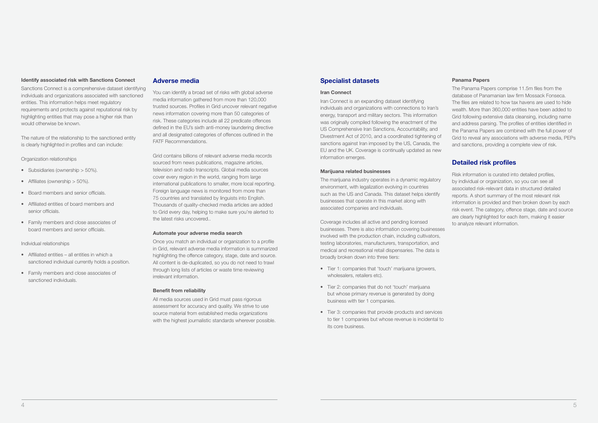#### Identify associated risk with Sanctions Connect

Sanctions Connect is a comprehensive dataset identifying individuals and organizations associated with sanctioned entities. This information helps meet regulatory requirements and protects against reputational risk by highlighting entities that may pose a higher risk than would otherwise be known.

- Subsidiaries (ownership > 50%).
- Affiliates (ownership > 50%).
- Board members and senior officials.
- Affiliated entities of board members and senior officials.
- Family members and close associates of board members and senior officials.

The nature of the relationship to the sanctioned entity is clearly highlighted in profiles and can include:

## Organization relationships

## Individual relationships

- Affiliated entities all entities in which a sanctioned individual currently holds a position.
- Family members and close associates of sanctioned individuals.

# Adverse media

You can identify a broad set of risks with global adverse media information gathered from more than 120,000 trusted sources. Profiles in Grid uncover relevant negative news information covering more than 50 categories of risk. These categories include all 22 predicate offences defined in the EU's sixth anti-money laundering directive and all designated categories of offences outlined in the FATF Recommendations.

Grid contains billions of relevant adverse media records sourced from news publications, magazine articles, television and radio transcripts. Global media sources cover every region in the world, ranging from large international publications to smaller, more local reporting. Foreign language news is monitored from more than 75 countries and translated by linguists into English. Thousands of quality-checked media articles are added to Grid every day, helping to make sure you're alerted to the latest risks uncovered..

## Automate your adverse media search

Once you match an individual or organization to a profile in Grid, relevant adverse media information is summarized highlighting the offence category, stage, date and source. All content is de-duplicated, so you do not need to trawl through long lists of articles or waste time reviewing irrelevant information.

## Benefit from reliability

All media sources used in Grid must pass rigorous assessment for accuracy and quality. We strive to use source material from established media organizations with the highest journalistic standards wherever possible.

# Specialist datasets

## Iran Connect

Iran Connect is an expanding dataset identifying individuals and organizations with connections to Iran's energy, transport and military sectors. This information was originally compiled following the enactment of the US Comprehensive Iran Sanctions, Accountability, and Divestment Act of 2010, and a coordinated tightening of sanctions against Iran imposed by the US, Canada, the EU and the UK. Coverage is continually updated as new information emerges.

## Marijuana related businesses

The marijuana industry operates in a dynamic regulatory environment, with legalization evolving in countries such as the US and Canada. This dataset helps identify businesses that operate in this market along with associated companies and individuals.

Coverage includes all active and pending licensed businesses. There is also information covering businesses involved with the production chain, including cultivators, testing laboratories, manufacturers, transportation, and medical and recreational retail dispensaries. The data is broadly broken down into three tiers:

- Tier 1: companies that 'touch' marijuana (growers, wholesalers, retailers etc).
- Tier 2: companies that do not 'touch' marijuana but whose primary revenue is generated by doing business with tier 1 companies.
- Tier 3: companies that provide products and services to tier 1 companies but whose revenue is incidental to its core business.

## Panama Papers

The Panama Papers comprise 11.5m files from the database of Panamanian law firm Mossack Fonseca. The files are related to how tax havens are used to hide wealth. More than 360,000 entities have been added to Grid following extensive data cleansing, including name and address parsing. The profiles of entities identified in the Panama Papers are combined with the full power of Grid to reveal any associations with adverse media, PEPs and sanctions, providing a complete view of risk.

# Detailed risk profiles

Risk information is curated into detailed profiles, by individual or organization, so you can see all associated risk-relevant data in structured detailed reports. A short summary of the most relevant risk information is provided and then broken down by each risk event. The category, offence stage, date and source are clearly highlighted for each item, making it easier to analyze relevant information.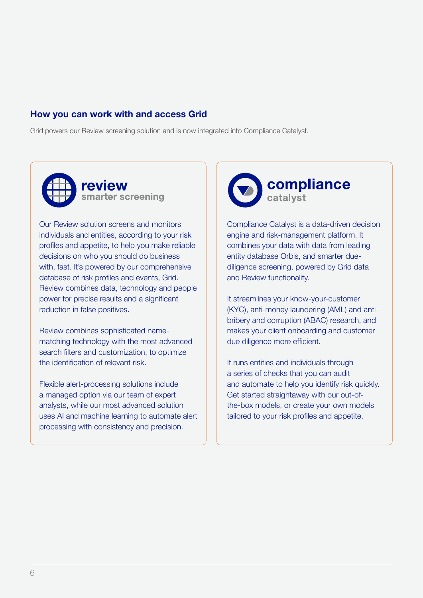# How you can work with and access Grid

Grid powers our Review screening solution and is now integrated into Compliance Catalyst.



Our Review solution screens and monitors individuals and entities, according to your risk profiles and appetite, to help you make reliable decisions on who you should do business with, fast. It's powered by our comprehensive database of risk profiles and events, Grid. Review combines data, technology and people power for precise results and a significant reduction in false positives.

Review combines sophisticated namematching technology with the most advanced search filters and customization, to optimize the identification of relevant risk.

Flexible alert-processing solutions include a managed option via our team of expert analysts, while our most advanced solution uses AI and machine learning to automate alert processing with consistency and precision.



Compliance Catalyst is a data-driven decision engine and risk-management platform. It combines your data with data from leading entity database Orbis, and smarter duediligence screening, powered by Grid data and Review functionality.

It streamlines your know-your-customer (KYC), anti-money laundering (AML) and antibribery and corruption (ABAC) research, and makes your client onboarding and customer due diligence more efficient.

It runs entities and individuals through a series of checks that you can audit and automate to help you identify risk quickly. Get started straightaway with our out-ofthe-box models, or create your own models tailored to your risk profiles and appetite.